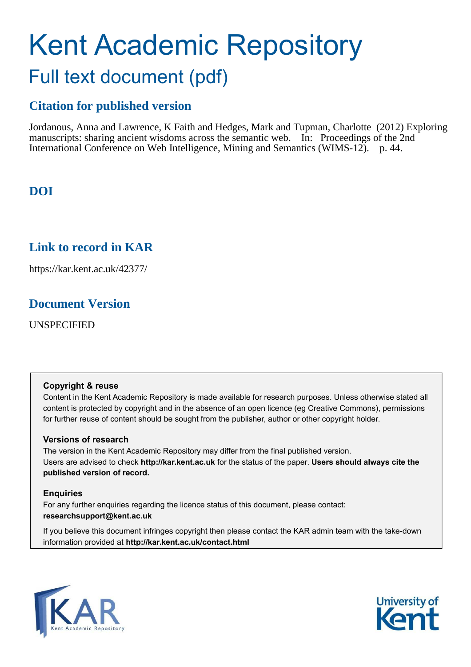# Kent Academic Repository Full text document (pdf)

# **Citation for published version**

Jordanous, Anna and Lawrence, K Faith and Hedges, Mark and Tupman, Charlotte (2012) Exploring manuscripts: sharing ancient wisdoms across the semantic web. In: Proceedings of the 2nd International Conference on Web Intelligence, Mining and Semantics (WIMS-12). p. 44.

# **DOI**

# **Link to record in KAR**

https://kar.kent.ac.uk/42377/

# **Document Version**

UNSPECIFIED

# **Copyright & reuse**

Content in the Kent Academic Repository is made available for research purposes. Unless otherwise stated all content is protected by copyright and in the absence of an open licence (eg Creative Commons), permissions for further reuse of content should be sought from the publisher, author or other copyright holder.

# **Versions of research**

The version in the Kent Academic Repository may differ from the final published version. Users are advised to check **http://kar.kent.ac.uk** for the status of the paper. **Users should always cite the published version of record.**

# **Enquiries**

For any further enquiries regarding the licence status of this document, please contact: **researchsupport@kent.ac.uk**

If you believe this document infringes copyright then please contact the KAR admin team with the take-down information provided at **http://kar.kent.ac.uk/contact.html**



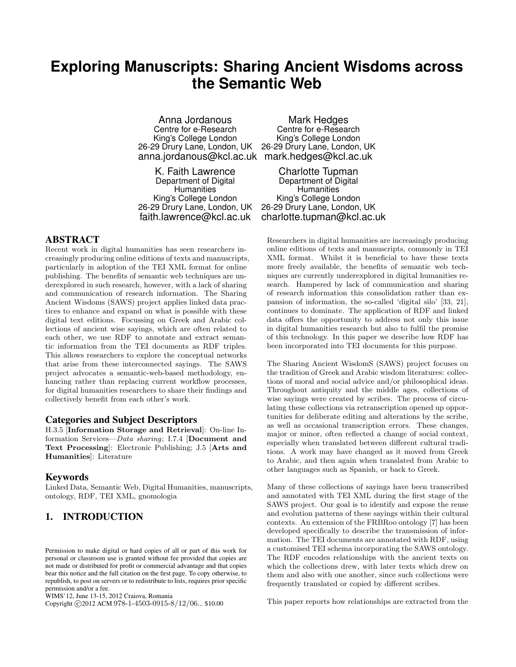# **Exploring Manuscripts: Sharing Ancient Wisdoms across the Semantic Web**

Anna Jordanous Centre for e-Research King's College London 26-29 Drury Lane, London, UK anna.jordanous@kcl.ac.uk mark.hedges@kcl.ac.uk

K. Faith Lawrence Department of Digital **Humanities** King's College London 26-29 Drury Lane, London, UK faith.lawrence@kcl.ac.uk

ABSTRACT

Recent work in digital humanities has seen researchers increasingly producing online editions of texts and manuscripts, particularly in adoption of the TEI XML format for online publishing. The benefits of semantic web techniques are underexplored in such research, however, with a lack of sharing and communication of research information. The Sharing Ancient Wisdoms (SAWS) project applies linked data practices to enhance and expand on what is possible with these digital text editions. Focussing on Greek and Arabic collections of ancient wise sayings, which are often related to each other, we use RDF to annotate and extract semantic information from the TEI documents as RDF triples. This allows researchers to explore the conceptual networks that arise from these interconnected sayings. The SAWS project advocates a semantic-web-based methodology, enhancing rather than replacing current workflow processes, for digital humanities researchers to share their findings and collectively benefit from each other's work.

#### Categories and Subject Descriptors

H.3.5 [Information Storage and Retrieval]: On-line Information Services—*Data sharing*; I.7.4 [Document and Text Processing]: Electronic Publishing; J.5 [Arts and Humanities]: Literature

#### Keywords

Linked Data, Semantic Web, Digital Humanities, manuscripts, ontology, RDF, TEI XML, gnomologia

#### 1. INTRODUCTION

Permission to make digital or hard copies of all or part of this work for personal or classroom use is granted without fee provided that copies are not made or distributed for profit or commercial advantage and that copies bear this notice and the full citation on the first page. To copy otherwise, to republish, to post on servers or to redistribute to lists, requires prior specific permission and/or a fee.

WIMS'12, June 13-15, 2012 Craiova, Romania

Copyright ©2012 ACM 978-1-4503-0915-8/12/06... \$10.00

Mark Hedges Centre for e-Research King's College London 26-29 Drury Lane, London, UK

Charlotte Tupman Department of Digital **Humanities** King's College London 26-29 Drury Lane, London, UK charlotte.tupman@kcl.ac.uk

Researchers in digital humanities are increasingly producing online editions of texts and manuscripts, commonly in TEI XML format. Whilst it is beneficial to have these texts more freely available, the benefits of semantic web techniques are currently underexplored in digital humanities research. Hampered by lack of communication and sharing of research information this consolidation rather than expansion of information, the so-called 'digital silo' [33, 21], continues to dominate. The application of RDF and linked data offers the opportunity to address not only this issue in digital humanities research but also to fulfil the promise of this technology. In this paper we describe how RDF has been incorporated into TEI documents for this purpose.

The Sharing Ancient WisdomS (SAWS) project focuses on the tradition of Greek and Arabic wisdom literatures: collections of moral and social advice and/or philosophical ideas. Throughout antiquity and the middle ages, collections of wise sayings were created by scribes. The process of circulating these collections via retranscription opened up opportunities for deliberate editing and alterations by the scribe, as well as occasional transcription errors. These changes, major or minor, often reflected a change of social context, especially when translated between different cultural traditions. A work may have changed as it moved from Greek to Arabic, and then again when translated from Arabic to other languages such as Spanish, or back to Greek.

Many of these collections of sayings have been transcribed and annotated with TEI XML during the first stage of the SAWS project. Our goal is to identify and expose the reuse and evolution patterns of these sayings within their cultural contexts. An extension of the FRBRoo ontology [7] has been developed specifically to describe the transmission of information. The TEI documents are annotated with RDF, using a customised TEI schema incorporating the SAWS ontology. The RDF encodes relationships with the ancient texts on which the collections drew, with later texts which drew on them and also with one another, since such collections were frequently translated or copied by different scribes.

This paper reports how relationships are extracted from the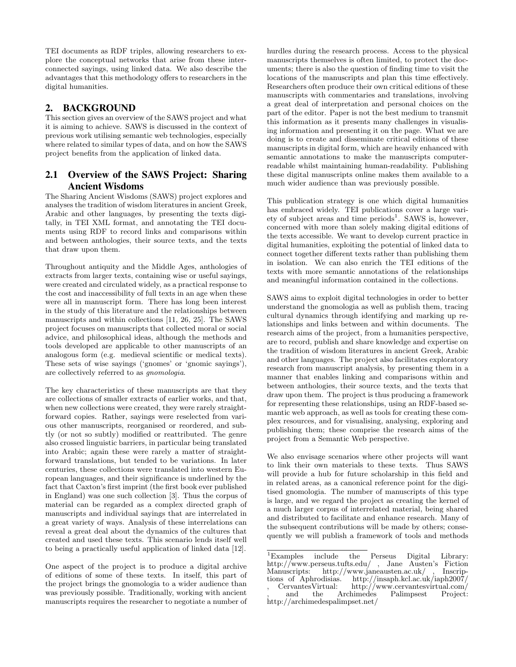TEI documents as RDF triples, allowing researchers to explore the conceptual networks that arise from these interconnected sayings, using linked data. We also describe the advantages that this methodology offers to researchers in the digital humanities.

## 2. BACKGROUND

This section gives an overview of the SAWS project and what it is aiming to achieve. SAWS is discussed in the context of previous work utilising semantic web technologies, especially where related to similar types of data, and on how the SAWS project benefits from the application of linked data.

## 2.1 Overview of the SAWS Project: Sharing Ancient Wisdoms

The Sharing Ancient Wisdoms (SAWS) project explores and analyses the tradition of wisdom literatures in ancient Greek, Arabic and other languages, by presenting the texts digitally, in TEI XML format, and annotating the TEI documents using RDF to record links and comparisons within and between anthologies, their source texts, and the texts that draw upon them.

Throughout antiquity and the Middle Ages, anthologies of extracts from larger texts, containing wise or useful sayings, were created and circulated widely, as a practical response to the cost and inaccessibility of full texts in an age when these were all in manuscript form. There has long been interest in the study of this literature and the relationships between manuscripts and within collections [11, 26, 25]. The SAWS project focuses on manuscripts that collected moral or social advice, and philosophical ideas, although the methods and tools developed are applicable to other manuscripts of an analogous form (e.g. medieval scientific or medical texts). These sets of wise sayings ('gnomes' or 'gnomic sayings'), are collectively referred to as *gnomologia*.

The key characteristics of these manuscripts are that they are collections of smaller extracts of earlier works, and that, when new collections were created, they were rarely straightforward copies. Rather, sayings were reselected from various other manuscripts, reorganised or reordered, and subtly (or not so subtly) modified or reattributed. The genre also crossed linguistic barriers, in particular being translated into Arabic; again these were rarely a matter of straightforward translations, but tended to be variations. In later centuries, these collections were translated into western European languages, and their significance is underlined by the fact that Caxton's first imprint (the first book ever published in England) was one such collection [3]. Thus the corpus of material can be regarded as a complex directed graph of manuscripts and individual sayings that are interrelated in a great variety of ways. Analysis of these interrelations can reveal a great deal about the dynamics of the cultures that created and used these texts. This scenario lends itself well to being a practically useful application of linked data [12].

One aspect of the project is to produce a digital archive of editions of some of these texts. In itself, this part of the project brings the gnomologia to a wider audience than was previously possible. Traditionally, working with ancient manuscripts requires the researcher to negotiate a number of hurdles during the research process. Access to the physical manuscripts themselves is often limited, to protect the documents; there is also the question of finding time to visit the locations of the manuscripts and plan this time effectively. Researchers often produce their own critical editions of these manuscripts with commentaries and translations, involving a great deal of interpretation and personal choices on the part of the editor. Paper is not the best medium to transmit this information as it presents many challenges in visualising information and presenting it on the page. What we are doing is to create and disseminate critical editions of these manuscripts in digital form, which are heavily enhanced with semantic annotations to make the manuscripts computerreadable whilst maintaining human-readability. Publishing these digital manuscripts online makes them available to a much wider audience than was previously possible.

This publication strategy is one which digital humanities has embraced widely. TEI publications cover a large variety of subject areas and time periods<sup>1</sup>. SAWS is, however, concerned with more than solely making digital editions of the texts accessible. We want to develop current practice in digital humanities, exploiting the potential of linked data to connect together different texts rather than publishing them in isolation. We can also enrich the TEI editions of the texts with more semantic annotations of the relationships and meaningful information contained in the collections.

SAWS aims to exploit digital technologies in order to better understand the gnomologia as well as publish them, tracing cultural dynamics through identifying and marking up relationships and links between and within documents. The research aims of the project, from a humanities perspective, are to record, publish and share knowledge and expertise on the tradition of wisdom literatures in ancient Greek, Arabic and other languages. The project also facilitates exploratory research from manuscript analysis, by presenting them in a manner that enables linking and comparisons within and between anthologies, their source texts, and the texts that draw upon them. The project is thus producing a framework for representing these relationships, using an RDF-based semantic web approach, as well as tools for creating these complex resources, and for visualising, analysing, exploring and publishing them; these comprise the research aims of the project from a Semantic Web perspective.

We also envisage scenarios where other projects will want to link their own materials to these texts. Thus SAWS will provide a hub for future scholarship in this field and in related areas, as a canonical reference point for the digitised gnomologia. The number of manuscripts of this type is large, and we regard the project as creating the kernel of a much larger corpus of interrelated material, being shared and distributed to facilitate and enhance research. Many of the subsequent contributions will be made by others; consequently we will publish a framework of tools and methods

<sup>&</sup>lt;sup>1</sup>Examples include the Perseus Digital Library:  $http://www.perseus.tufts.edu/$ , Jane Austen's Fiction http://www.perseus.tufts.edu/ $,$  Jane Austen's Manuscripts: http://www.janeausten.ac.uk/ , Inscriptions of Aphrodisias. http://insaph.kcl.ac.uk/iaph2007/ , CervantesVirtual: http://www.cervantesvirtual.com/

<sup>,</sup> and the Archimedes Palimpsest Project: http://archimedespalimpset.net/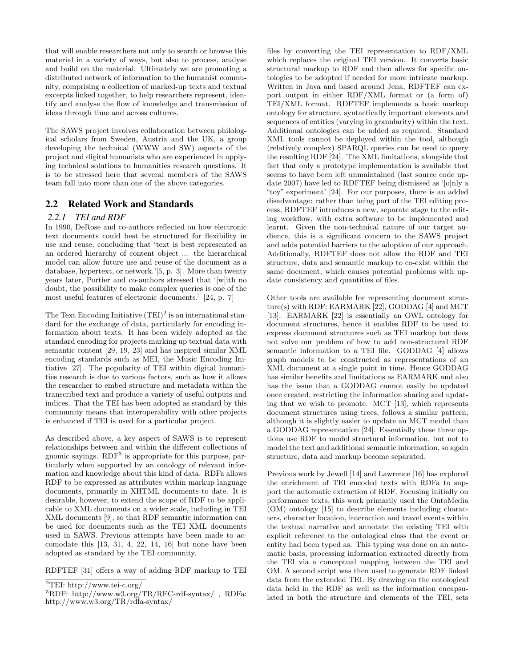that will enable researchers not only to search or browse this material in a variety of ways, but also to process, analyse and build on the material. Ultimately we are promoting a distributed network of information to the humanist community, comprising a collection of marked-up texts and textual excerpts linked together, to help researchers represent, identify and analyse the flow of knowledge and transmission of ideas through time and across cultures.

The SAWS project involves collaboration between philological scholars from Sweden, Austria and the UK, a group developing the technical (WWW and SW) aspects of the project and digital humanists who are experienced in applying technical solutions to humanities research questions. It is to be stressed here that several members of the SAWS team fall into more than one of the above categories.

## 2.2 Related Work and Standards

#### *2.2.1 TEI and RDF*

In 1990, DeRose and co-authors reflected on how electronic text documents could best be structured for flexibility in use and reuse, concluding that 'text is best represented as an ordered hierarchy of content object ... the hierarchical model can allow future use and reuse of the document as a database, hypertext, or network.'[5, p. 3]. More than twenty years later, Portier and co-authors stressed that '[w]ith no doubt, the possibility to make complex queries is one of the most useful features of electronic documents.' [24, p. 7]

The Text Encoding Initiative  $(TEI)^2$  is an international standard for the exchange of data, particularly for encoding information about texts. It has been widely adopted as the standard encoding for projects marking up textual data with semantic content [29, 19, 23] and has inspired similar XML encoding standards such as MEI, the Music Encoding Initiative [27]. The popularity of TEI within digital humanities research is due to various factors, such as how it allows the researcher to embed structure and metadata within the transcribed text and produce a variety of useful outputs and indices. That the TEI has been adopted as standard by this community means that interoperability with other projects is enhanced if TEI is used for a particular project.

As described above, a key aspect of SAWS is to represent relationships between and within the different collections of gnomic sayings. RDF<sup>3</sup> is appropriate for this purpose, particularly when supported by an ontology of relevant information and knowledge about this kind of data. RDFa allows RDF to be expressed as attributes within markup language documents, primarily in XHTML documents to date. It is desirable, however, to extend the scope of RDF to be applicable to XML documents on a wider scale, including in TEI XML documents [9], so that RDF semantic information can be used for documents such as the TEI XML documents used in SAWS. Previous attempts have been made to accomodate this [13, 31, 4, 22, 14, 16] but none have been adopted as standard by the TEI community.

RDFTEF [31] offers a way of adding RDF markup to TEI

files by converting the TEI representation to RDF/XML which replaces the original TEI version. It converts basic structural markup to RDF and then allows for specific ontologies to be adopted if needed for more intricate markup. Written in Java and based around Jena, RDFTEF can export output in either RDF/XML format or (a form of) TEI/XML format. RDFTEF implements a basic markup ontology for structure, syntactically important elements and sequences of entities (varying in granularity) within the text. Additional ontologies can be added as required. Standard XML tools cannot be deployed within the tool, although (relatively complex) SPARQL queries can be used to query the resulting RDF [24]. The XML limitations, alongside that fact that only a prototype implementation is available that seems to have been left unmaintained (last source code update 2007) have led to RDFTEF being dismissed as '[o]nly a "toy" experiment' [24]. For our purposes, there is an added disadvantage: rather than being part of the TEI editing process, RDFTEF introduces a new, separate stage to the editing workflow, with extra software to be implemented and learnt. Given the non-technical nature of our target audience, this is a significant concern to the SAWS project and adds potential barriers to the adoption of our approach. Additionally, RDFTEF does not allow the RDF and TEI structure, data and semantic markup to co-exist within the same document, which causes potential problems with update consistency and quantities of files.

Other tools are available for representing document structure(s) with RDF: EARMARK [22], GODDAG [4] and MCT [13]. EARMARK [22] is essentially an OWL ontology for document structures, hence it enables RDF to be used to express document structures such as TEI markup but does not solve our problem of how to add non-structural RDF semantic information to a TEI file. GODDAG [4] allows graph models to be constructed as representations of an XML document at a single point in time. Hence GODDAG has similar benefits and limitations as EARMARK and also has the issue that a GODDAG cannot easily be updated once created, restricting the information sharing and updating that we wish to promote. MCT [13], which represents document structures using trees, follows a similar pattern, although it is slightly easier to update an MCT model than a GODDAG representation [24]. Essentially these three options use RDF to model structural information, but not to model the text and additional semantic information, so again structure, data and markup become separated.

Previous work by Jewell [14] and Lawrence [16] has explored the enrichment of TEI encoded texts with RDFa to support the automatic extraction of RDF. Focusing initially on performance texts, this work primarily used the OntoMedia (OM) ontology [15] to describe elements including characters, character location, interaction and travel events within the textual narrative and annotate the existing TEI with explicit reference to the ontological class that the event or entity had been typed as. This typing was done on an automatic basis, processing information extracted directly from the TEI via a conceptual mapping between the TEI and OM. A second script was then used to generate RDF linked data from the extended TEI. By drawing on the ontological data held in the RDF as well as the information encapsulated in both the structure and elements of the TEI, sets

<sup>&</sup>lt;sup>2</sup>TEI: http://www.tei-c.org/

<sup>3</sup>RDF: http://www.w3.org/TR/REC-rdf-syntax/ , RDFa: http://www.w3.org/TR/rdfa-syntax/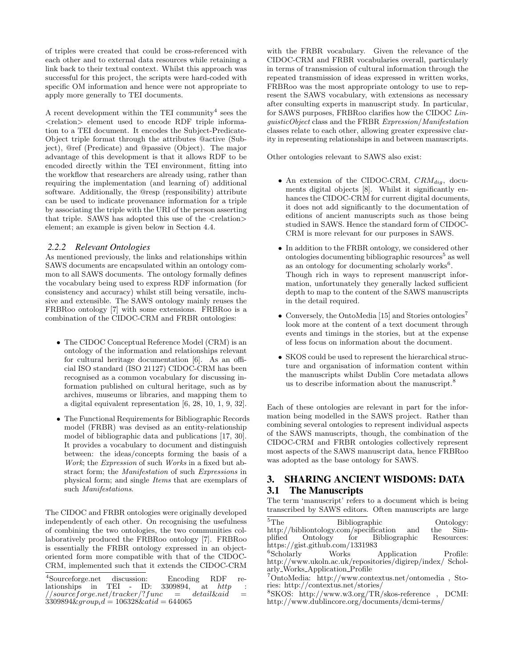of triples were created that could be cross-referenced with each other and to external data resources while retaining a link back to their textual context. Whilst this approach was successful for this project, the scripts were hard-coded with specific OM information and hence were not appropriate to apply more generally to TEI documents.

A recent development within the TEI community<sup>4</sup> sees the <relation> element used to encode RDF triple information to a TEI document. It encodes the Subject-Predicate-Object triple format through the attributes @active (Subject), @ref (Predicate) and @passive (Object). The major advantage of this development is that it allows RDF to be encoded directly within the TEI environment, fitting into the workflow that researchers are already using, rather than requiring the implementation (and learning of) additional software. Additionally, the @resp (responsibility) attribute can be used to indicate provenance information for a triple by associating the triple with the URI of the person asserting that triple. SAWS has adopted this use of the  $\langle$  relation $\rangle$ element; an example is given below in Section 4.4.

#### *2.2.2 Relevant Ontologies*

As mentioned previously, the links and relationships within SAWS documents are encapsulated within an ontology common to all SAWS documents. The ontology formally defines the vocabulary being used to express RDF information (for consistency and accuracy) whilst still being versatile, inclusive and extensible. The SAWS ontology mainly reuses the FRBRoo ontology [7] with some extensions. FRBRoo is a combination of the CIDOC-CRM and FRBR ontologies:

- The CIDOC Conceptual Reference Model (CRM) is an ontology of the information and relationships relevant for cultural heritage documentation [6]. As an official ISO standard (ISO 21127) CIDOC-CRM has been recognised as a common vocabulary for discussing information published on cultural heritage, such as by archives, museums or libraries, and mapping them to a digital equivalent representation [6, 28, 10, 1, 9, 32].
- The Functional Requirements for Bibliographic Records model (FRBR) was devised as an entity-relationship model of bibliographic data and publications [17, 30]. It provides a vocabulary to document and distinguish between: the ideas/concepts forming the basis of a *Work*; the *Expression* of such *Works* in a fixed but abstract form; the *Manifestation* of such *Expressions* in physical form; and single *Items* that are exemplars of such *Manifestations*.

The CIDOC and FRBR ontologies were originally developed independently of each other. On recognising the usefulness of combining the two ontologies, the two communities collaboratively produced the FRBRoo ontology [7]. FRBRoo is essentially the FRBR ontology expressed in an objectoriented form more compatible with that of the CIDOC-CRM, implemented such that it extends the CIDOC-CRM

with the FRBR vocabulary. Given the relevance of the CIDOC-CRM and FRBR vocabularies overall, particularly in terms of transmission of cultural information through the repeated transmission of ideas expressed in written works, FRBRoo was the most appropriate ontology to use to represent the SAWS vocabulary, with extensions as necessary after consulting experts in manuscript study. In particular, for SAWS purposes, FRBRoo clarifies how the CIDOC *LinguisticObject* class and the FRBR *Expression*/*Manifestation* classes relate to each other, allowing greater expressive clarity in representing relationships in and between manuscripts.

Other ontologies relevant to SAWS also exist:

- An extension of the CIDOC-CRM,  $CRM_{dig}$ , documents digital objects [8]. Whilst it significantly enhances the CIDOC-CRM for current digital documents, it does not add significantly to the documentation of editions of ancient manuscripts such as those being studied in SAWS. Hence the standard form of CIDOC-CRM is more relevant for our purposes in SAWS.
- In addition to the FRBR ontology, we considered other ontologies documenting bibliographic resources<sup>5</sup> as well as an ontology for documenting scholarly works<sup>6</sup>. Though rich in ways to represent manuscript information, unfortunately they generally lacked sufficient depth to map to the content of the SAWS manuscripts in the detail required.
- Conversely, the OntoMedia [15] and Stories ontologies<sup>7</sup> look more at the content of a text document through events and timings in the stories, but at the expense of less focus on information about the document.
- SKOS could be used to represent the hierarchical structure and organisation of information content within the manuscripts whilst Dublin Core metadata allows us to describe information about the manuscript.<sup>8</sup>

Each of these ontologies are relevant in part for the information being modelled in the SAWS project. Rather than combining several ontologies to represent individual aspects of the SAWS manuscripts, though, the combination of the CIDOC-CRM and FRBR ontologies collectively represent most aspects of the SAWS manuscript data, hence FRBRoo was adopted as the base ontology for SAWS.

# 3. SHARING ANCIENT WISDOMS: DATA 3.1 The Manuscripts

The term 'manuscript' refers to a document which is being transcribed by SAWS editors. Often manuscripts are large

 $\frac{5}{10}$ The Bibliographic Ontology:<br>http://bibliontology.com/specification and the Simhttp://bibliontology.com/specification and the Sim-Bibliographic https://gist.github.com/1331983

 $\begin{tabular}{llll} $4$Sourceforge.net & discussion: & Encoding & RDF & relationship \\ lationships & in & TEI & - ID: & 3309894, & at & *http* & : \\ $6$ & $100$ & $100$ & $100$ & $100$ & $100$ \\ \end{tabular} \begin{tabular}{llllll} \hline \end{tabular}$ lationships in TEI - ID:  $3309894$ , at  $http$  :  $// source for ge.net/tracker$ ?func = detail&aid =  $3309894\&group_i d = 106328\&{}atid = 644065$ 

<sup>&</sup>lt;sup>6</sup>Scholarly Works Application Profile: http://www.ukoln.ac.uk/repositories/digirep/index/ Scholarly Works Application Profile

<sup>7</sup>OntoMedia: http://www.contextus.net/ontomedia , Stories: http://contextus.net/stories/

<sup>8</sup>SKOS: http://www.w3.org/TR/skos-reference , DCMI: http://www.dublincore.org/documents/dcmi-terms/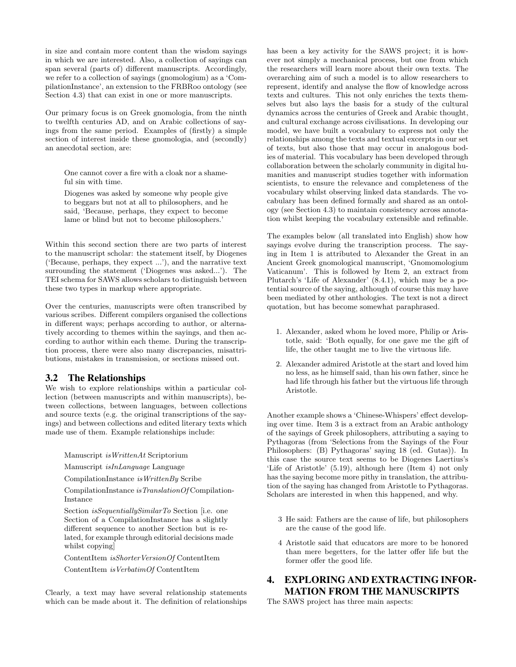in size and contain more content than the wisdom sayings in which we are interested. Also, a collection of sayings can span several (parts of) different manuscripts. Accordingly, we refer to a collection of sayings (gnomologium) as a 'CompilationInstance', an extension to the FRBRoo ontology (see Section 4.3) that can exist in one or more manuscripts.

Our primary focus is on Greek gnomologia, from the ninth to twelfth centuries AD, and on Arabic collections of sayings from the same period. Examples of (firstly) a simple section of interest inside these gnomologia, and (secondly) an anecdotal section, are:

One cannot cover a fire with a cloak nor a shameful sin with time.

Diogenes was asked by someone why people give to beggars but not at all to philosophers, and he said, 'Because, perhaps, they expect to become lame or blind but not to become philosophers.'

Within this second section there are two parts of interest to the manuscript scholar: the statement itself, by Diogenes ('Because, perhaps, they expect ...'), and the narrative text surrounding the statement ('Diogenes was asked...'). The TEI schema for SAWS allows scholars to distinguish between these two types in markup where appropriate.

Over the centuries, manuscripts were often transcribed by various scribes. Different compilers organised the collections in different ways; perhaps according to author, or alternatively according to themes within the sayings, and then according to author within each theme. During the transcription process, there were also many discrepancies, misattributions, mistakes in transmission, or sections missed out.

#### 3.2 The Relationships

We wish to explore relationships within a particular collection (between manuscripts and within manuscripts), between collections, between languages, between collections and source texts (e.g. the original transcriptions of the sayings) and between collections and edited literary texts which made use of them. Example relationships include:

Manuscript *isWrittenAt* Scriptorium

Manuscript *isInLanguage* Language

CompilationInstance *isWrittenBy* Scribe

CompilationInstance *isTranslationOf* Compilation-Instance

Section *isSequentiallySimilarTo* Section [i.e. one Section of a CompilationInstance has a slightly different sequence to another Section but is related, for example through editorial decisions made whilst copying]

ContentItem *isShorterVersionOf* ContentItem

ContentItem *isVerbatimOf* ContentItem

Clearly, a text may have several relationship statements which can be made about it. The definition of relationships has been a key activity for the SAWS project; it is however not simply a mechanical process, but one from which the researchers will learn more about their own texts. The overarching aim of such a model is to allow researchers to represent, identify and analyse the flow of knowledge across texts and cultures. This not only enriches the texts themselves but also lays the basis for a study of the cultural dynamics across the centuries of Greek and Arabic thought, and cultural exchange across civilisations. In developing our model, we have built a vocabulary to express not only the relationships among the texts and textual excerpts in our set of texts, but also those that may occur in analogous bodies of material. This vocabulary has been developed through collaboration between the scholarly community in digital humanities and manuscript studies together with information scientists, to ensure the relevance and completeness of the vocabulary whilst observing linked data standards. The vocabulary has been defined formally and shared as an ontology (see Section 4.3) to maintain consistency across annotation whilst keeping the vocabulary extensible and refinable.

The examples below (all translated into English) show how sayings evolve during the transcription process. The saying in Item 1 is attributed to Alexander the Great in an Ancient Greek gnomological manuscript, 'Gnomomologium Vaticanum'. This is followed by Item 2, an extract from Plutarch's 'Life of Alexander' (8.4.1), which may be a potential source of the saying, although of course this may have been mediated by other anthologies. The text is not a direct quotation, but has become somewhat paraphrased.

- 1. Alexander, asked whom he loved more, Philip or Aristotle, said: 'Both equally, for one gave me the gift of life, the other taught me to live the virtuous life.
- 2. Alexander admired Aristotle at the start and loved him no less, as he himself said, than his own father, since he had life through his father but the virtuous life through Aristotle.

Another example shows a 'Chinese-Whispers' effect developing over time. Item 3 is a extract from an Arabic anthology of the sayings of Greek philosophers, attributing a saying to Pythagoras (from 'Selections from the Sayings of the Four Philosophers: (B) Pythagoras' saying 18 (ed. Gutas)). In this case the source text seems to be Diogenes Laertius's 'Life of Aristotle' (5.19), although here (Item 4) not only has the saying become more pithy in translation, the attribution of the saying has changed from Aristotle to Pythagoras. Scholars are interested in when this happened, and why.

- 3 He said: Fathers are the cause of life, but philosophers are the cause of the good life.
- 4 Aristotle said that educators are more to be honored than mere begetters, for the latter offer life but the former offer the good life.

# 4. EXPLORING AND EXTRACTING INFOR-MATION FROM THE MANUSCRIPTS

The SAWS project has three main aspects: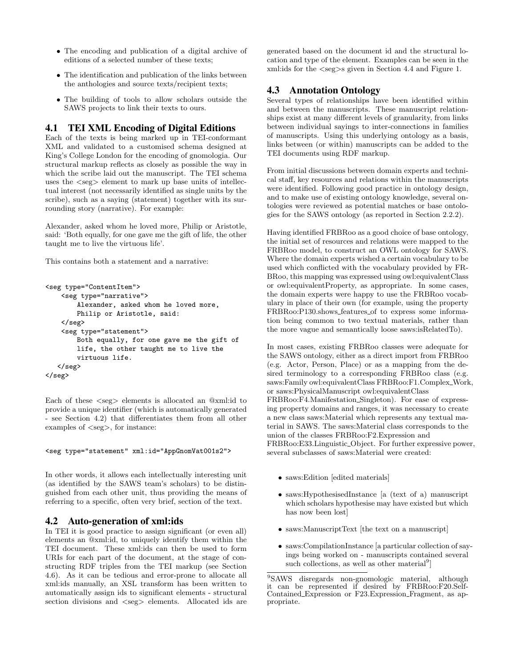- The encoding and publication of a digital archive of editions of a selected number of these texts;
- The identification and publication of the links between the anthologies and source texts/recipient texts;
- The building of tools to allow scholars outside the SAWS projects to link their texts to ours.

#### 4.1 TEI XML Encoding of Digital Editions

Each of the texts is being marked up in TEI-conformant XML and validated to a customised schema designed at King's College London for the encoding of gnomologia. Our structural markup reflects as closely as possible the way in which the scribe laid out the manuscript. The TEI schema uses the  $\langle$ seg $\rangle$  element to mark up base units of intellectual interest (not necessarily identified as single units by the scribe), such as a saying (statement) together with its surrounding story (narrative). For example:

Alexander, asked whom he loved more, Philip or Aristotle, said: 'Both equally, for one gave me the gift of life, the other taught me to live the virtuous life'.

This contains both a statement and a narrative:

```
<seg type="ContentItem">
    <seg type="narrative">
        Alexander, asked whom he loved more,
        Philip or Aristotle, said:
    </seg>
    <seg type="statement">
        Both equally, for one gave me the gift of
        life, the other taught me to live the
        virtuous life.
   </seg>
</seg>
```
Each of these  $\langle \text{seg} \rangle$  elements is allocated an  $@x$ ml:id to provide a unique identifier (which is automatically generated - see Section 4.2) that differentiates them from all other examples of  $\langle \text{seg}\rangle$ , for instance:

#### <seg type="statement" xml:id="AppGnomVat001s2">

In other words, it allows each intellectually interesting unit (as identified by the SAWS team's scholars) to be distinguished from each other unit, thus providing the means of referring to a specific, often very brief, section of the text.

#### 4.2 Auto-generation of xml:ids

In TEI it is good practice to assign significant (or even all) elements an @xml:id, to uniquely identify them within the TEI document. These xml:ids can then be used to form URIs for each part of the document, at the stage of constructing RDF triples from the TEI markup (see Section 4.6). As it can be tedious and error-prone to allocate all xml:ids manually, an XSL transform has been written to automatically assign ids to significant elements - structural section divisions and  $\langle seg \rangle$  elements. Allocated ids are generated based on the document id and the structural location and type of the element. Examples can be seen in the xml:ids for the <seg>s given in Section 4.4 and Figure 1.

#### 4.3 Annotation Ontology

Several types of relationships have been identified within and between the manuscripts. These manuscript relationships exist at many different levels of granularity, from links between individual sayings to inter-connections in families of manuscripts. Using this underlying ontology as a basis, links between (or within) manuscripts can be added to the TEI documents using RDF markup.

From initial discussions between domain experts and technical staff, key resources and relations within the manuscripts were identified. Following good practice in ontology design, and to make use of existing ontology knowledge, several ontologies were reviewed as potential matches or base ontologies for the SAWS ontology (as reported in Section 2.2.2).

Having identified FRBRoo as a good choice of base ontology, the initial set of resources and relations were mapped to the FRBRoo model, to construct an OWL ontology for SAWS. Where the domain experts wished a certain vocabulary to be used which conflicted with the vocabulary provided by FR-BRoo, this mapping was expressed using owl:equivalentClass or owl:equivalentProperty, as appropriate. In some cases, the domain experts were happy to use the FRBRoo vocabulary in place of their own (for example, using the property FRBRoo:P130.shows features of to express some information being common to two textual materials, rather than the more vague and semantically loose saws:isRelatedTo).

In most cases, existing FRBRoo classes were adequate for the SAWS ontology, either as a direct import from FRBRoo (e.g. Actor, Person, Place) or as a mapping from the desired terminology to a corresponding FRBRoo class (e.g. saws:Family owl:equivalentClass FRBRoo:F1.Complex\_Work, or saws:PhysicalManuscript owl:equivalentClass FRBRoo:F4.Manifestation Singleton). For ease of expressing property domains and ranges, it was necessary to create a new class saws:Material which represents any textual material in SAWS. The saws:Material class corresponds to the union of the classes FRBRoo:F2.Expression and FRBRoo:E33.Linguistic Object. For further expressive power, several subclasses of saws:Material were created:

- saws:Edition [edited materials]
- saws:HypothesisedInstance [a (text of a) manuscript which scholars hypothesise may have existed but which has now been lost]
- saws:ManuscriptText [the text on a manuscript]
- saws:CompilationInstance [a particular collection of sayings being worked on - manuscripts contained several such collections, as well as other material<sup>9</sup>]

<sup>9</sup>SAWS disregards non-gnomologic material, although it can be represented if desired by FRBRoo:F20.Self-Contained Expression or F23.Expression Fragment, as appropriate.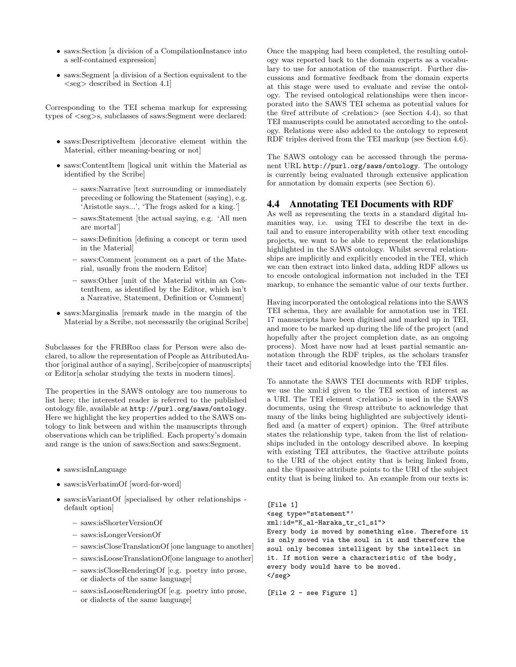- saws:Section [a division of a CompilationInstance into a self-contained expression]
- saws:Segment [a division of a Section equivalent to the  $\langle$ seg $\rangle$  described in Section 4.1]

Corresponding to the TEI schema markup for expressing types of  $\langle$ seg>s, subclasses of saws:Segment were declared:

- saws:DescriptiveItem [decorative element within the Material, either meaning-bearing or not]
- saws:ContentItem [logical unit within the Material as identified by the Scribe]
	- saws:Narrative [text surrounding or immediately preceding or following the Statement (saying), e.g. 'Aristotle says...', 'The frogs asked for a king.']
	- saws:Statement [the actual saying, e.g. 'All men are mortal']
	- saws:Definition [defining a concept or term used in the Material]
	- saws:Comment [comment on a part of the Material, usually from the modern Editor]
	- saws:Other [unit of the Material within an ContentItem, as identified by the Editor, which isn't a Narrative, Statement, Definition or Comment]
- saws:Marginalia [remark made in the margin of the Material by a Scribe, not necessarily the original Scribe]

Subclasses for the FRBRoo class for Person were also declared, to allow the representation of People as AttributedAuthor [original author of a saying], Scribe[copier of manuscripts] or Editor[a scholar studying the texts in modern times].

The properties in the SAWS ontology are too numerous to list here; the interested reader is referred to the published ontology file, available at http://purl.org/saws/ontology. Here we highlight the key properties added to the SAWS ontology to link between and within the manuscripts through observations which can be triplified. Each property's domain and range is the union of saws:Section and saws:Segment.

- saws:isInLanguage
- saws:isVerbatimOf [word-for-word]
- saws:isVariantOf [specialised by other relationships default option]
	- saws:isShorterVersionOf
	- saws:isLongerVersionOf
	- saws:isCloseTranslationOf [one language to another]
	- saws:isLooseTranslationOf[one language to another]
	- saws:isCloseRenderingOf [e.g. poetry into prose, or dialects of the same language]
	- saws:isLooseRenderingOf [e.g. poetry into prose, or dialects of the same language]

Once the mapping had been completed, the resulting ontology was reported back to the domain experts as a vocabulary to use for annotation of the manuscript. Further discussions and formative feedback from the domain experts at this stage were used to evaluate and revise the ontology. The revised ontological relationships were then incorporated into the SAWS TEI schema as potential values for the @ref attribute of  $\langle$  relation $\rangle$  (see Section 4.4), so that TEI manuscripts could be annotated according to the ontology. Relations were also added to the ontology to represent RDF triples derived from the TEI markup (see Section 4.6).

The SAWS ontology can be accessed through the permanent URL http://purl.org/saws/ontology. The ontology is currently being evaluated through extensive application for annotation by domain experts (see Section 6).

#### 4.4 Annotating TEI Documents with RDF

As well as representing the texts in a standard digital humanities way, i.e. using TEI to describe the text in detail and to ensure interoperability with other text encoding projects, we want to be able to represent the relationships highlighted in the SAWS ontology. Whilst several relationships are implicitly and explicitly encoded in the TEI, which we can then extract into linked data, adding RDF allows us to encode ontological information not included in the TEI markup, to enhance the semantic value of our texts further.

Having incorporated the ontological relations into the SAWS TEI schema, they are available for annotation use in TEI. 17 manuscripts have been digitised and marked up in TEI, and more to be marked up during the life of the project (and hopefully after the project completion date, as an ongoing process). Most have now had at least partial semantic annotation through the RDF triples, as the scholars transfer their tacet and editorial knowledge into the TEI files.

To annotate the SAWS TEI documents with RDF triples, we use the xml:id given to the TEI section of interest as a URI. The TEI element <relation> is used in the SAWS documents, using the @resp attribute to acknowledge that many of the links being highlighted are subjectively identified and (a matter of expert) opinion. The @ref attribute states the relationship type, taken from the list of relationships included in the ontology described above. In keeping with existing TEI attributes, the @active attribute points to the URI of the object entity that is being linked from, and the @passive attribute points to the URI of the subject entity that is being linked to. An example from our texts is:

[File 1] <seg type="statement"' xml:id="K\_al-Haraka\_tr\_c1\_s1"> Every body is moved by something else. Therefore it is only moved via the soul in it and therefore the soul only becomes intelligent by the intellect in it. If motion were a characteristic of the body, every body would have to be moved. </seg>

[File 2 - see Figure 1]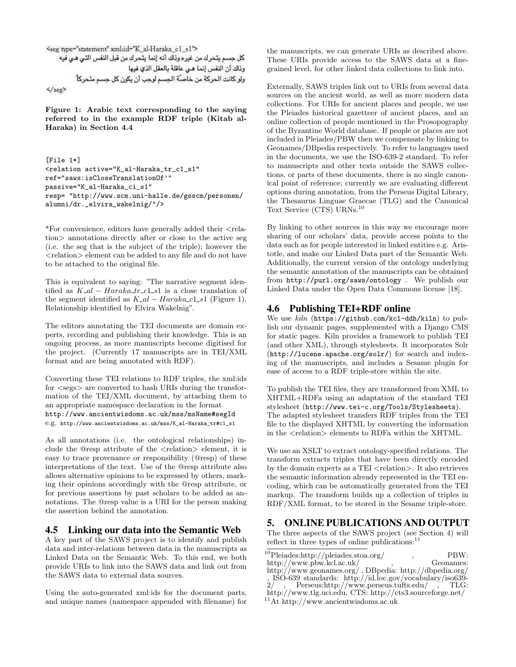<seg type="statement" xml:id="K al-Haraka c1 s1"> كل جسم يتحرك من غيره وذلك أنه إنما يتحرك من قبل النفس التي هي فيه وذلك أن النفس إنما هي عاقلة بالعقل الذي فيها ولو كانت الحركة من خاصنَة الجسم لوجب أن يكون كل جسم متحركاً.  $\langle$ /seg>

Figure 1: Arabic text corresponding to the saying referred to in the example RDF triple (Kitab al-Haraka) in Section 4.4

```
[File 1*]
<relation active="K_al-Haraka_tr_c1_s1"
ref="saws:isCloseTranslationOf'"
passive="K_al-Haraka_ci_s1"
resp= "http://www.scm.uni-halle.de/gsscm/personen/
alumni/dr._elvira_wakelnig/"/>
```
\*For convenience, editors have generally added their  $\langle$  relation> annotations directly after or close to the active seg (i.e. the seg that is the subject of the triple); however the <relation> element can be added to any file and do not have to be attached to the original file.

This is equivalent to saying: "The narrative segment identified as  $K_a = Haraka_tr_c1_s1$  is a close translation of the segment identified as  $K_a = Haraka_c1_s1$  (Figure 1). Relationship identified by Elvira Wakelnig".

The editors annotating the TEI documents are domain experts, recording and publishing their knowledge. This is an ongoing process, as more manuscripts become digitised for the project. (Currently 17 manuscripts are in TEI/XML format and are being annotated with RDF).

Converting these TEI relations to RDF triples, the xml:ids for  $\langle$ segs $\rangle$  are converted to hash URIs during the transformation of the TEI/XML document, by attaching them to an appropriate namespace declaration in the format http://www.ancientwisdoms.ac.uk/mss/msName#segId e.g. http://www.ancientwisdoms.ac.uk/mss/K\_al-Haraka\_tr#c1\_s1

As all annotations (i.e. the ontological relationships) include the @resp attribute of the <relation> element, it is easy to trace provenance or responsibility (@resp) of these interpretations of the text. Use of the @resp attribute also allows alternative opinions to be expressed by others, marking their opinions accordingly with the @resp attribute, or for previous assertions by past scholars to be added as annotations. The @resp value is a URI for the person making the assertion behind the annotation.

#### 4.5 Linking our data into the Semantic Web

A key part of the SAWS project is to identify and publish data and inter-relations between data in the manuscripts as Linked Data on the Semantic Web. To this end, we both provide URIs to link into the SAWS data and link out from the SAWS data to external data sources.

Using the auto-generated xml:ids for the document parts, and unique names (namespace appended with filename) for the manuscripts, we can generate URIs as described above. These URIs provide access to the SAWS data at a finegrained level, for other linked data collections to link into.

Externally, SAWS triples link out to URIs from several data sources on the ancient world, as well as more modern data collections. For URIs for ancient places and people, we use the Pleiades historical gazetteer of ancient places, and an online collection of people mentioned in the Prosopography of the Byzantine World database. If people or places are not included in Pleiades/PBW then we compensate by linking to Geonames/DBpedia respectively. To refer to languages used in the documents, we use the ISO-639-2 standard. To refer to manuscripts and other texts outside the SAWS collections, or parts of these documents, there is no single canonical point of reference; currently we are evaluating different options during annotation, from the Perseus Digital Library, the Thesaurus Linguae Graecae (TLG) and the Canonical Text Service (CTS) URNs.<sup>10</sup>

By linking to other sources in this way we encourage more sharing of our scholars' data, provide access points to the data such as for people interested in linked entities e.g. Aristotle, and make our Linked Data part of the Semantic Web. Additionally, the current version of the ontology underlying the semantic annotation of the manuscripts can be obtained from http://purl.org/saws/ontology . We publish our Linked Data under the Open Data Commons license [18].

#### 4.6 Publishing TEI+RDF online

We use *kiln* (https://github.com/kcl-ddh/kiln) to publish our dynamic pages, supplemented with a Django CMS for static pages. Kiln provides a framework to publish TEI (and other XML), through stylesheets. It incorporates Solr (http://lucene.apache.org/solr/) for search and indexing of the manuscripts, and includes a Sesame plugin for ease of access to a RDF triple-store within the site.

To publish the TEI files, they are transformed from XML to XHTML+RDFa using an adaptation of the standard TEI stylesheet (http://www.tei-c.org/Tools/Stylesheets). The adapted stylesheet transfers RDF triples from the TEI file to the displayed XHTML by converting the information in the  $\langle$ relation $\rangle$  elements to RDFa within the XHTML.

We use an XSLT to extract ontology-specified relations. The transform extracts triples that have been directly encoded by the domain experts as a TEI  $\leq$  relation $\geq$ . It also retrieves the semantic information already represented in the TEI encoding, which can be automatically generated from the TEI markup. The transform builds up a collection of triples in RDF/XML format, to be stored in the Sesame triple-store.

## 5. ONLINE PUBLICATIONS AND OUTPUT

The three aspects of the SAWS project (see Section 4) will reflect in three types of online publications:  $\real^{11}$ 

| <sup>10</sup> Pleiades:http://pleiades.stoa.org/          |  | PBW:      |
|-----------------------------------------------------------|--|-----------|
| http://www.pbw.kcl.ac.uk/                                 |  | Geonames: |
| http://www.geonames.org/, DBpedia: http://dbpedia.org/    |  |           |
| , ISO-639 standards: http://id.loc.gov/vocabulary/iso639- |  |           |
| $2/$ , Perseus:http://www.perseus.tufts.edu/, TLG:        |  |           |
| http://www.tlg.uci.edu, CTS: http://cts3.sourceforge.net/ |  |           |
| $11$ At http://www.ancientwisdoms.ac.uk                   |  |           |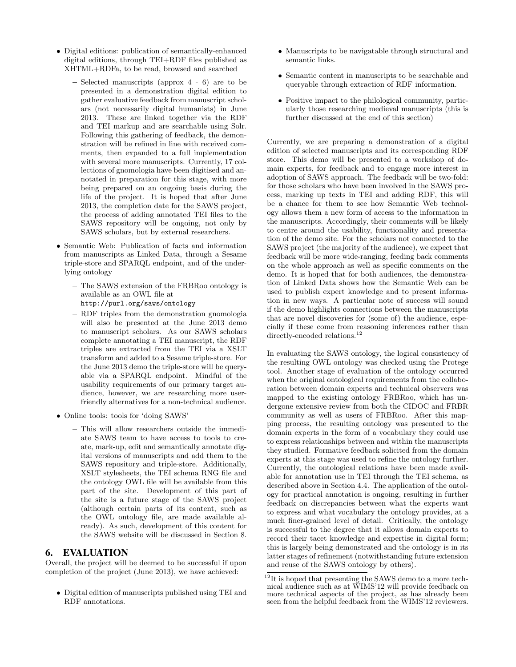- Digital editions: publication of semantically-enhanced digital editions, through TEI+RDF files published as XHTML+RDFa, to be read, browsed and searched
	- Selected manuscripts (approx 4 6) are to be presented in a demonstration digital edition to gather evaluative feedback from manuscript scholars (not necessarily digital humanists) in June 2013. These are linked together via the RDF and TEI markup and are searchable using Solr. Following this gathering of feedback, the demonstration will be refined in line with received comments, then expanded to a full implementation with several more manuscripts. Currently, 17 collections of gnomologia have been digitised and annotated in preparation for this stage, with more being prepared on an ongoing basis during the life of the project. It is hoped that after June 2013, the completion date for the SAWS project, the process of adding annotated TEI files to the SAWS repository will be ongoing, not only by SAWS scholars, but by external researchers.
- Semantic Web: Publication of facts and information from manuscripts as Linked Data, through a Sesame triple-store and SPARQL endpoint, and of the underlying ontology
	- The SAWS extension of the FRBRoo ontology is available as an OWL file at http://purl.org/saws/ontology
	- RDF triples from the demonstration gnomologia will also be presented at the June 2013 demo to manuscript scholars. As our SAWS scholars complete annotating a TEI manuscript, the RDF triples are extracted from the TEI via a XSLT transform and added to a Sesame triple-store. For the June 2013 demo the triple-store will be queryable via a SPARQL endpoint. Mindful of the usability requirements of our primary target audience, however, we are researching more userfriendly alternatives for a non-technical audience.
- Online tools: tools for 'doing SAWS'
	- This will allow researchers outside the immediate SAWS team to have access to tools to create, mark-up, edit and semantically annotate digital versions of manuscripts and add them to the SAWS repository and triple-store. Additionally, XSLT stylesheets, the TEI schema RNG file and the ontology OWL file will be available from this part of the site. Development of this part of the site is a future stage of the SAWS project (although certain parts of its content, such as the OWL ontology file, are made available already). As such, development of this content for the SAWS website will be discussed in Section 8.

#### 6. EVALUATION

Overall, the project will be deemed to be successful if upon completion of the project (June 2013), we have achieved:

• Digital edition of manuscripts published using TEI and RDF annotations.

- Manuscripts to be navigatable through structural and semantic links.
- Semantic content in manuscripts to be searchable and queryable through extraction of RDF information.
- Positive impact to the philological community, particularly those researching medieval manuscripts (this is further discussed at the end of this section)

Currently, we are preparing a demonstration of a digital edition of selected manuscripts and its corresponding RDF store. This demo will be presented to a workshop of domain experts, for feedback and to engage more interest in adoption of SAWS approach. The feedback will be two-fold: for those scholars who have been involved in the SAWS process, marking up texts in TEI and adding RDF, this will be a chance for them to see how Semantic Web technology allows them a new form of access to the information in the manuscripts. Accordingly, their comments will be likely to centre around the usability, functionality and presentation of the demo site. For the scholars not connected to the SAWS project (the majority of the audience), we expect that feedback will be more wide-ranging, feeding back comments on the whole approach as well as specific comments on the demo. It is hoped that for both audiences, the demonstration of Linked Data shows how the Semantic Web can be used to publish expert knowledge and to present information in new ways. A particular note of success will sound if the demo highlights connections between the manuscripts that are novel discoveries for (some of) the audience, especially if these come from reasoning inferences rather than directly-encoded relations.<sup>12</sup>

In evaluating the SAWS ontology, the logical consistency of the resulting OWL ontology was checked using the Protege tool. Another stage of evaluation of the ontology occurred when the original ontological requirements from the collaboration between domain experts and technical observers was mapped to the existing ontology FRBRoo, which has undergone extensive review from both the CIDOC and FRBR community as well as users of FRBRoo. After this mapping process, the resulting ontology was presented to the domain experts in the form of a vocabulary they could use to express relationships between and within the manuscripts they studied. Formative feedback solicited from the domain experts at this stage was used to refine the ontology further. Currently, the ontological relations have been made available for annotation use in TEI through the TEI schema, as described above in Section 4.4. The application of the ontology for practical annotation is ongoing, resulting in further feedback on discrepancies between what the experts want to express and what vocabulary the ontology provides, at a much finer-grained level of detail. Critically, the ontology is successful to the degree that it allows domain experts to record their tacet knowledge and expertise in digital form; this is largely being demonstrated and the ontology is in its latter stages of refinement (notwithstanding future extension and reuse of the SAWS ontology by others).

 $12$ It is hoped that presenting the SAWS demo to a more technical audience such as at WIMS'12 will provide feedback on more technical aspects of the project, as has already been seen from the helpful feedback from the WIMS'12 reviewers.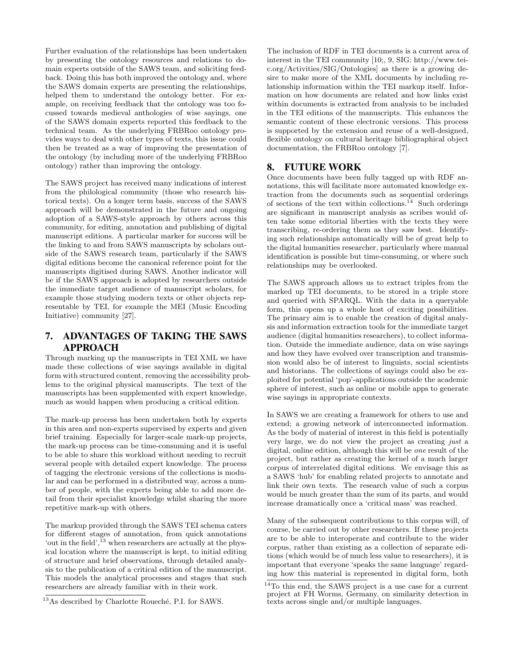Further evaluation of the relationships has been undertaken by presenting the ontology resources and relations to domain experts outside of the SAWS team, and soliciting feedback. Doing this has both improved the ontology and, where the SAWS domain experts are presenting the relationships, helped them to understand the ontology better. For example, on receiving feedback that the ontology was too focussed towards medieval anthologies of wise sayings, one of the SAWS domain experts reported this feedback to the technical team. As the underlying FRBRoo ontology provides ways to deal with other types of texts, this issue could then be treated as a way of improving the presentation of the ontology (by including more of the underlying FRBRoo ontology) rather than improving the ontology.

The SAWS project has received many indications of interest from the philological community (those who research historical texts). On a longer term basis, success of the SAWS approach will be demonstrated in the future and ongoing adoption of a SAWS-style approach by others across this community, for editing, annotation and publishing of digital manuscript editions. A particular marker for success will be the linking to and from SAWS manuscripts by scholars outside of the SAWS research team, particularly if the SAWS digital editions become the canonical reference point for the manuscripts digitised during SAWS. Another indicator will be if the SAWS approach is adopted by researchers outside the immediate target audience of manuscript scholars, for example those studying modern texts or other objects representable by TEI, for example the MEI (Music Encoding Initiative) community [27].

# 7. ADVANTAGES OF TAKING THE SAWS APPROACH

Through marking up the manuscripts in TEI XML we have made these collections of wise sayings available in digital form with structured content, removing the accessibility problems to the original physical manuscripts. The text of the manuscripts has been supplemented with expert knowledge, much as would happen when producing a critical edition.

The mark-up process has been undertaken both by experts in this area and non-experts supervised by experts and given brief training. Especially for larger-scale mark-up projects, the mark-up process can be time-consuming and it is useful to be able to share this workload without needing to recruit several people with detailed expert knowledge. The process of tagging the electronic versions of the collections is modular and can be performed in a distributed way, across a number of people, with the experts being able to add more detail from their specialist knowledge whilst sharing the more repetitive mark-up with others.

The markup provided through the SAWS TEI schema caters for different stages of annotation, from quick annotations 'out in the field', $^{13}$  when researchers are actually at the physical location where the manuscript is kept, to initial editing of structure and brief observations, through detailed analysis to the publication of a critical edition of the manuscript. This models the analytical processes and stages that such researchers are already familiar with in their work.

The inclusion of RDF in TEI documents is a current area of interest in the TEI community [10;, 9, SIG: http://www.teic.org/Activities/SIG/Ontologies] as there is a growing desire to make more of the XML documents by including relationship information within the TEI markup itself. Information on how documents are related and how links exist within documents is extracted from analysis to be included in the TEI editions of the manuscripts. This enhances the semantic content of these electronic versions. This process is supported by the extension and reuse of a well-designed, flexible ontology on cultural heritage bibliographical object documentation, the FRBRoo ontology [7].

#### 8. FUTURE WORK

Once documents have been fully tagged up with RDF annotations, this will facilitate more automated knowledge extraction from the documents such as sequential orderings of sections of the text within collections.<sup>14</sup> Such orderings are significant in manuscript analysis as scribes would often take some editorial liberties with the texts they were transcribing, re-ordering them as they saw best. Identifying such relationships automatically will be of great help to the digital humanities researcher, particularly where manual identification is possible but time-consuming, or where such relationships may be overlooked.

The SAWS approach allows us to extract triples from the marked up TEI documents, to be stored in a triple store and queried with SPARQL. With the data in a queryable form, this opens up a whole host of exciting possibilities. The primary aim is to enable the creation of digital analysis and information extraction tools for the immediate target audience (digital humanities researchers), to collect information. Outside the immediate audience, data on wise sayings and how they have evolved over transcription and transmission would also be of interest to linguists, social scientists and historians. The collections of sayings could also be exploited for potential 'pop'-applications outside the academic sphere of interest, such as online or mobile apps to generate wise sayings in appropriate contexts.

In SAWS we are creating a framework for others to use and extend; a growing network of interconnected information. As the body of material of interest in this field is potentially very large, we do not view the project as creating *just* a digital, online edition, although this will be *one* result of the project, but rather as creating the kernel of a much larger corpus of interrelated digital editions. We envisage this as a SAWS 'hub' for enabling related projects to annotate and link their own texts. The research value of such a corpus would be much greater than the sum of its parts, and would increase dramatically once a 'critical mass' was reached.

Many of the subsequent contributions to this corpus will, of course, be carried out by other researchers. If these projects are to be able to interoperate and contribute to the wider corpus, rather than existing as a collection of separate editions (which would be of much less value to researchers), it is important that everyone 'speaks the same language' regarding how this material is represented in digital form, both

 $13\text{As}$  described by Charlotte Roueché, P.I. for SAWS.

<sup>14</sup>To this end, the SAWS project is a use case for a current project at FH Worms, Germany, on similarity detection in texts across single and/or multiple languages.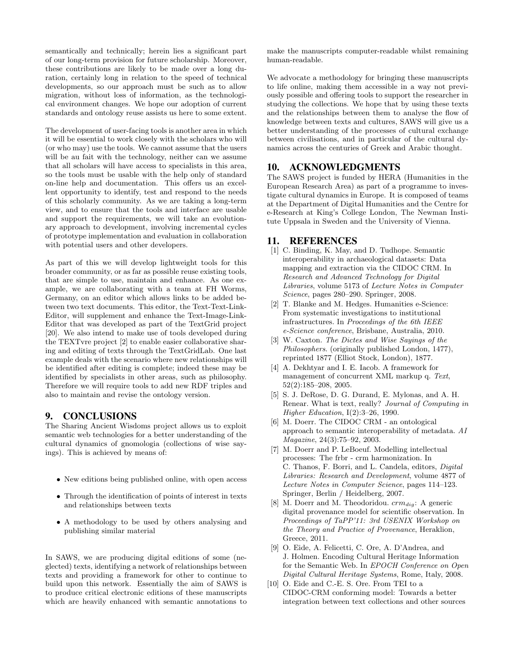semantically and technically; herein lies a significant part of our long-term provision for future scholarship. Moreover, these contributions are likely to be made over a long duration, certainly long in relation to the speed of technical developments, so our approach must be such as to allow migration, without loss of information, as the technological environment changes. We hope our adoption of current standards and ontology reuse assists us here to some extent.

The development of user-facing tools is another area in which it will be essential to work closely with the scholars who will (or who may) use the tools. We cannot assume that the users will be au fait with the technology, neither can we assume that all scholars will have access to specialists in this area, so the tools must be usable with the help only of standard on-line help and documentation. This offers us an excellent opportunity to identify, test and respond to the needs of this scholarly community. As we are taking a long-term view, and to ensure that the tools and interface are usable and support the requirements, we will take an evolutionary approach to development, involving incremental cycles of prototype implementation and evaluation in collaboration with potential users and other developers.

As part of this we will develop lightweight tools for this broader community, or as far as possible reuse existing tools, that are simple to use, maintain and enhance. As one example, we are collaborating with a team at FH Worms, Germany, on an editor which allows links to be added between two text documents. This editor, the Text-Text-Link-Editor, will supplement and enhance the Text-Image-Link-Editor that was developed as part of the TextGrid project [20]. We also intend to make use of tools developed during the TEXTvre project [2] to enable easier collaborative sharing and editing of texts through the TextGridLab. One last example deals with the scenario where new relationships will be identified after editing is complete; indeed these may be identified by specialists in other areas, such as philosophy. Therefore we will require tools to add new RDF triples and also to maintain and revise the ontology version.

## 9. CONCLUSIONS

The Sharing Ancient Wisdoms project allows us to exploit semantic web technologies for a better understanding of the cultural dynamics of gnomologia (collections of wise sayings). This is achieved by means of:

- New editions being published online, with open access
- Through the identification of points of interest in texts and relationships between texts
- A methodology to be used by others analysing and publishing similar material

In SAWS, we are producing digital editions of some (neglected) texts, identifying a network of relationships between texts and providing a framework for other to continue to build upon this network. Essentially the aim of SAWS is to produce critical electronic editions of these manuscripts which are heavily enhanced with semantic annotations to

make the manuscripts computer-readable whilst remaining human-readable.

We advocate a methodology for bringing these manuscripts to life online, making them accessible in a way not previously possible and offering tools to support the researcher in studying the collections. We hope that by using these texts and the relationships between them to analyse the flow of knowledge between texts and cultures, SAWS will give us a better understanding of the processes of cultural exchange between civilisations, and in particular of the cultural dynamics across the centuries of Greek and Arabic thought.

## 10. ACKNOWLEDGMENTS

The SAWS project is funded by HERA (Humanities in the European Research Area) as part of a programme to investigate cultural dynamics in Europe. It is composed of teams at the Department of Digital Humanities and the Centre for e-Research at King's College London, The Newman Institute Uppsala in Sweden and the University of Vienna.

#### 11. REFERENCES

- [1] C. Binding, K. May, and D. Tudhope. Semantic interoperability in archaeological datasets: Data mapping and extraction via the CIDOC CRM. In *Research and Advanced Technology for Digital Libraries*, volume 5173 of *Lecture Notes in Computer Science*, pages 280–290. Springer, 2008.
- [2] T. Blanke and M. Hedges. Humanities e-Science: From systematic investigations to institutional infrastructures. In *Proceedings of the 6th IEEE e-Science conference*, Brisbane, Australia, 2010.
- [3] W. Caxton. *The Dictes and Wise Sayings of the Philosophers*. (originally published London, 1477), reprinted 1877 (Elliot Stock, London), 1877.
- [4] A. Dekhtyar and I. E. Iacob. A framework for management of concurrent XML markup q. *Text*, 52(2):185–208, 2005.
- [5] S. J. DeRose, D. G. Durand, E. Mylonas, and A. H. Renear. What is text, really? *Journal of Computing in Higher Education*, I(2):3–26, 1990.
- [6] M. Doerr. The CIDOC CRM an ontological approach to semantic interoperability of metadata. *AI Magazine*, 24(3):75–92, 2003.
- [7] M. Doerr and P. LeBoeuf. Modelling intellectual processes: The frbr - crm harmonization. In C. Thanos, F. Borri, and L. Candela, editors, *Digital Libraries: Research and Development*, volume 4877 of *Lecture Notes in Computer Science*, pages 114–123. Springer, Berlin / Heidelberg, 2007.
- [8] M. Doerr and M. Theodoridou.  $crm_{dig}$ : A generic digital provenance model for scientific observation. In *Proceedings of TaPP'11: 3rd USENIX Workshop on the Theory and Practice of Provenance*, Heraklion, Greece, 2011.
- [9] O. Eide, A. Felicetti, C. Ore, A. D'Andrea, and J. Holmen. Encoding Cultural Heritage Information for the Semantic Web. In *EPOCH Conference on Open Digital Cultural Heritage Systems*, Rome, Italy, 2008.
- [10] O. Eide and C.-E. S. Ore. From TEI to a CIDOC-CRM conforming model: Towards a better integration between text collections and other sources